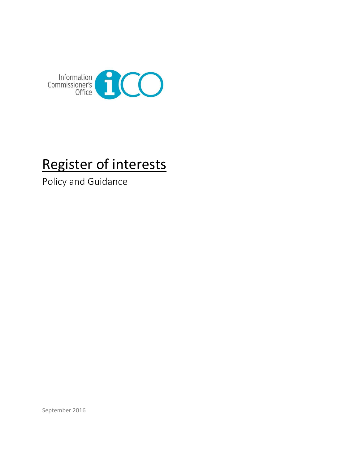

# Register of interests

Policy and Guidance

September 2016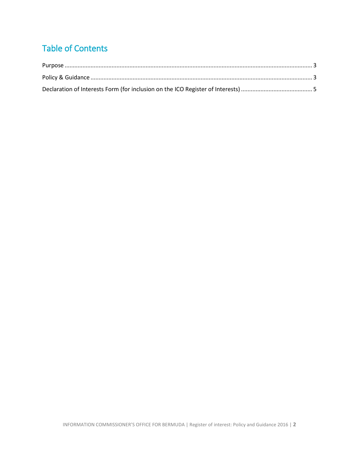# Table of Contents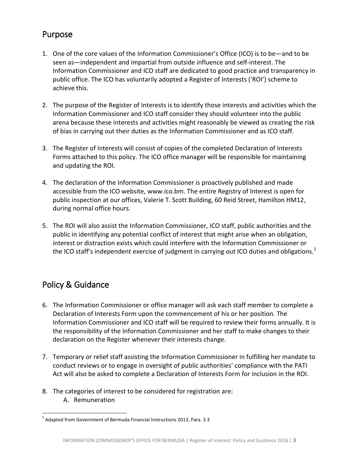#### <span id="page-2-0"></span>Purpose

- 1. One of the core values of the Information Commissioner's Office (ICO) is to be—and to be seen as—independent and impartial from outside influence and self-interest. The Information Commissioner and ICO staff are dedicated to good practice and transparency in public office. The ICO has voluntarily adopted a Register of Interests ('ROI') scheme to achieve this.
- 2. The purpose of the Register of Interests is to identify those interests and activities which the Information Commissioner and ICO staff consider they should volunteer into the public arena because these interests and activities might reasonably be viewed as creating the risk of bias in carrying out their duties as the Information Commissioner and as ICO staff.
- 3. The Register of Interests will consist of copies of the completed Declaration of Interests Forms attached to this policy. The ICO office manager will be responsible for maintaining and updating the ROI.
- 4. The declaration of the Information Commissioner is proactively published and made accessible from the ICO website, [www.ico.bm.](http://www.ico.bm/) The entire Registry of Interest is open for public inspection at our offices, Valerie T. Scott Building, 60 Reid Street, Hamilton HM12, during normal office hours.
- 5. The ROI will also assist the Information Commissioner, ICO staff, public authorities and the public in identifying any potential conflict of interest that might arise when an obligation, interest or distraction exists which could interfere with the Information Commissioner or the ICO staff's independent exercise of judgment in carrying out ICO duties and obligations.<sup>1</sup>

#### <span id="page-2-1"></span>Policy & Guidance

- 6. The Information Commissioner or office manager will ask each staff member to complete a Declaration of Interests Form upon the commencement of his or her position. The Information Commissioner and ICO staff will be required to review their forms annually. It is the responsibility of the Information Commissioner and her staff to make changes to their declaration on the Register whenever their interests change.
- 7. Temporary or relief staff assisting the Information Commissioner in fulfilling her mandate to conduct reviews or to engage in oversight of public authorities' compliance with the PATI Act will also be asked to complete a Declaration of Interests Form for inclusion in the ROI.
- 8. The categories of interest to be considered for registration are:
	- A. Remuneration

 $\overline{a}$  $^{1}$  Adapted from Government of Bermuda Financial Instructions 2013, Para. 3.3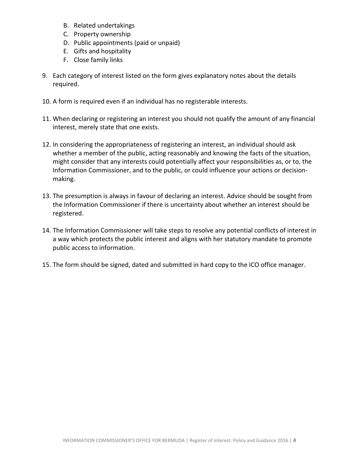- B. Related undertakings
- C. Property ownership
- D. Public appointments (paid or unpaid)
- E. Gifts and hospitality
- F. Close family links
- 9. Each category of interest listed on the form gives explanatory notes about the details required.
- 10. A form is required even if an individual has no registerable interests.
- 11. When declaring or registering an interest you should not qualify the amount of any financial interest, merely state that one exists.
- 12. In considering the appropriateness of registering an interest, an individual should ask whether a member of the public, acting reasonably and knowing the facts of the situation, might consider that any interests could potentially affect your responsibilities as, or to, the Information Commissioner, and to the public, or could influence your actions or decisionmaking.
- 13. The presumption is always in favour of declaring an interest. Advice should be sought from the Information Commissioner if there is uncertainty about whether an interest should be registered.
- 14. The Information Commissioner will take steps to resolve any potential conflicts of interest in a way which protects the public interest and aligns with her statutory mandate to promote public access to information.
- 15. The form should be signed, dated and submitted in hard copy to the ICO office manager.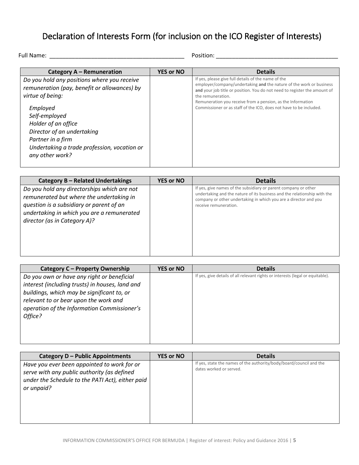## <span id="page-4-0"></span>Declaration of Interests Form (for inclusion on the ICO Register of Interests)

```
Full Name: __________________________________________ Position: ______________________________________
```

| Category A – Remuneration                                                                                                                    | <b>YES or NO</b> | <b>Details</b>                                                                                                                                                                                                                                                                                                                                                    |
|----------------------------------------------------------------------------------------------------------------------------------------------|------------------|-------------------------------------------------------------------------------------------------------------------------------------------------------------------------------------------------------------------------------------------------------------------------------------------------------------------------------------------------------------------|
| Do you hold any positions where you receive<br>remuneration (pay, benefit or allowances) by<br>virtue of being:<br>Employed<br>Self-employed |                  | If yes, please give full details of the name of the<br>employer/company/undertaking and the nature of the work or business<br>and your job title or position. You do not need to register the amount of<br>the remuneration.<br>Remuneration you receive from a pension, as the Information<br>Commissioner or as staff of the ICO, does not have to be included. |
| Holder of an office<br>Director of an undertaking<br>Partner in a firm<br>Undertaking a trade profession, vocation or<br>any other work?     |                  |                                                                                                                                                                                                                                                                                                                                                                   |

| Category B - Related Undertakings                                                                                                                                                                                 | <b>YES or NO</b> | <b>Details</b>                                                                                                                                                                                                                           |
|-------------------------------------------------------------------------------------------------------------------------------------------------------------------------------------------------------------------|------------------|------------------------------------------------------------------------------------------------------------------------------------------------------------------------------------------------------------------------------------------|
| Do you hold any directorships which are not<br>remunerated but where the undertaking in<br>question is a subsidiary or parent of an<br>undertaking in which you are a remunerated<br>director (as in Category A)? |                  | If yes, give names of the subsidiary or parent company or other<br>undertaking and the nature of its business and the relationship with the<br>company or other undertaking in which you are a director and you<br>receive remuneration. |

| Category C - Property Ownership                                                                                                                                                                                                                | <b>YES or NO</b> | <b>Details</b>                                                                 |
|------------------------------------------------------------------------------------------------------------------------------------------------------------------------------------------------------------------------------------------------|------------------|--------------------------------------------------------------------------------|
| Do you own or have any right or beneficial<br>interest (including trusts) in houses, land and<br>buildings, which may be significant to, or<br>relevant to or bear upon the work and<br>operation of the Information Commissioner's<br>Office? |                  | If yes, give details of all relevant rights or interests (legal or equitable). |
|                                                                                                                                                                                                                                                |                  |                                                                                |

| Category D - Public Appointments                 | <b>YES or NO</b> | <b>Details</b>                                                                                 |
|--------------------------------------------------|------------------|------------------------------------------------------------------------------------------------|
| Have you ever been appointed to work for or      |                  | If yes, state the names of the authority/body/board/council and the<br>dates worked or served. |
| serve with any public authority (as defined      |                  |                                                                                                |
| under the Schedule to the PATI Act), either paid |                  |                                                                                                |
| or unpaid?                                       |                  |                                                                                                |
|                                                  |                  |                                                                                                |
|                                                  |                  |                                                                                                |
|                                                  |                  |                                                                                                |
|                                                  |                  |                                                                                                |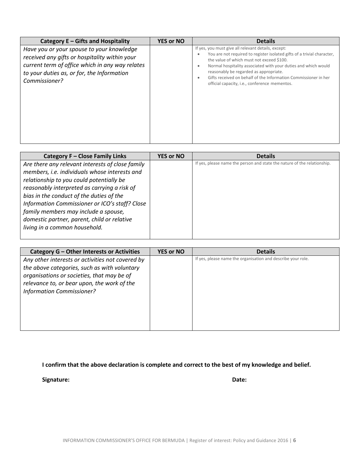| Category E - Gifts and Hospitality                                                                                                                                                                           | <b>YES or NO</b> | <b>Details</b>                                                                                                                                                                                                                                                                                                                                                                                              |
|--------------------------------------------------------------------------------------------------------------------------------------------------------------------------------------------------------------|------------------|-------------------------------------------------------------------------------------------------------------------------------------------------------------------------------------------------------------------------------------------------------------------------------------------------------------------------------------------------------------------------------------------------------------|
| Have you or your spouse to your knowledge<br>received any gifts or hospitality within your<br>current term of office which in any way relates<br>to your duties as, or for, the Information<br>Commissioner? |                  | If yes, you must give all relevant details, except:<br>You are not required to register isolated gifts of a trivial character,<br>the value of which must not exceed \$100.<br>Normal hospitality associated with your duties and which would<br>reasonably be regarded as appropriate.<br>Gifts received on behalf of the Information Commissioner in her<br>official capacity, i.e., conference mementos. |

| Category F - Close Family Links                  | <b>YES or NO</b> | <b>Details</b>                                                           |
|--------------------------------------------------|------------------|--------------------------------------------------------------------------|
| Are there any relevant interests of close family |                  | If yes, please name the person and state the nature of the relationship. |
| members, i.e. individuals whose interests and    |                  |                                                                          |
| relationship to you could potentially be         |                  |                                                                          |
| reasonably interpreted as carrying a risk of     |                  |                                                                          |
| bias in the conduct of the duties of the         |                  |                                                                          |
| Information Commissioner or ICO's staff? Close   |                  |                                                                          |
| family members may include a spouse,             |                  |                                                                          |
| domestic partner, parent, child or relative      |                  |                                                                          |
| living in a common household.                    |                  |                                                                          |
|                                                  |                  |                                                                          |

| Category G - Other Interests or Activities       | <b>YES or NO</b> | <b>Details</b>                                               |
|--------------------------------------------------|------------------|--------------------------------------------------------------|
| Any other interests or activities not covered by |                  | If yes, please name the organisation and describe your role. |
| the above categories, such as with voluntary     |                  |                                                              |
| organisations or societies, that may be of       |                  |                                                              |
| relevance to, or bear upon, the work of the      |                  |                                                              |
| <b>Information Commissioner?</b>                 |                  |                                                              |
|                                                  |                  |                                                              |
|                                                  |                  |                                                              |
|                                                  |                  |                                                              |
|                                                  |                  |                                                              |
|                                                  |                  |                                                              |

**I confirm that the above declaration is complete and correct to the best of my knowledge and belief.**

**Signature: Date:**